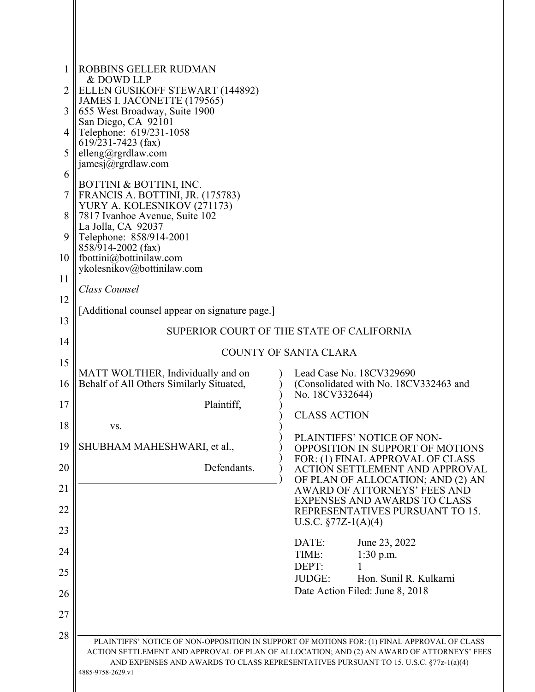| 1  | <b>ROBBINS GELLER RUDMAN</b><br>& DOWD LLP                                          |                                                                                                                                                                                                                                                                                  |  |
|----|-------------------------------------------------------------------------------------|----------------------------------------------------------------------------------------------------------------------------------------------------------------------------------------------------------------------------------------------------------------------------------|--|
|    | ELLEN GUSIKOFF STEWART (144892)<br>JAMES I. JACONETTE (179565)                      |                                                                                                                                                                                                                                                                                  |  |
| 3  | 655 West Broadway, Suite 1900<br>San Diego, CA 92101                                |                                                                                                                                                                                                                                                                                  |  |
| 4  | Telephone: 619/231-1058<br>$619$ /231-7423 (fax)                                    |                                                                                                                                                                                                                                                                                  |  |
| 5  | elleng@rgrdlaw.com<br>jamesj $@r$ grdlaw.com                                        |                                                                                                                                                                                                                                                                                  |  |
| 6  |                                                                                     |                                                                                                                                                                                                                                                                                  |  |
|    | BOTTINI & BOTTINI, INC.<br>FRANCIS A. BOTTINI, JR. (175783)                         |                                                                                                                                                                                                                                                                                  |  |
| 8  | YURY A. KOLESNIKOV (271173)<br>7817 Ivanhoe Avenue, Suite 102<br>La Jolla, CA 92037 |                                                                                                                                                                                                                                                                                  |  |
| 9  | Telephone: 858/914-2001<br>858/914-2002 (fax)                                       |                                                                                                                                                                                                                                                                                  |  |
| 10 | fbottini@bottinilaw.com<br>ykolesnikov@bottinilaw.com                               |                                                                                                                                                                                                                                                                                  |  |
| 11 | Class Counsel                                                                       |                                                                                                                                                                                                                                                                                  |  |
| 12 | [Additional counsel appear on signature page.]                                      |                                                                                                                                                                                                                                                                                  |  |
| 13 |                                                                                     | SUPERIOR COURT OF THE STATE OF CALIFORNIA                                                                                                                                                                                                                                        |  |
| 14 |                                                                                     | <b>COUNTY OF SANTA CLARA</b>                                                                                                                                                                                                                                                     |  |
| 15 |                                                                                     |                                                                                                                                                                                                                                                                                  |  |
| 16 | MATT WOLTHER, Individually and on<br>Behalf of All Others Similarly Situated,       | Lead Case No. 18CV329690<br>(Consolidated with No. 18CV332463 and<br>No. 18CV332644)                                                                                                                                                                                             |  |
| 17 | Plaintiff,                                                                          | <b>CLASS ACTION</b>                                                                                                                                                                                                                                                              |  |
| 18 | VS.                                                                                 |                                                                                                                                                                                                                                                                                  |  |
| 19 | SHUBHAM MAHESHWARI, et al.,                                                         | PLAINTIFFS' NOTICE OF NON-<br>OPPOSITION IN SUPPORT OF MOTIONS                                                                                                                                                                                                                   |  |
| 20 | Defendants.                                                                         | FOR: (1) FINAL APPROVAL OF CLASS<br><b>ACTION SETTLEMENT AND APPROVAL</b>                                                                                                                                                                                                        |  |
| 21 |                                                                                     | OF PLAN OF ALLOCATION; AND (2) AN<br>AWARD OF ATTORNEYS' FEES AND                                                                                                                                                                                                                |  |
| 22 |                                                                                     | <b>EXPENSES AND AWARDS TO CLASS</b><br>REPRESENTATIVES PURSUANT TO 15.                                                                                                                                                                                                           |  |
| 23 |                                                                                     | U.S.C. $\S 77Z-1(A)(4)$                                                                                                                                                                                                                                                          |  |
| 24 |                                                                                     | DATE:<br>June 23, 2022<br>1:30 p.m.<br>TIME:                                                                                                                                                                                                                                     |  |
| 25 |                                                                                     | DEPT:<br><b>JUDGE:</b><br>Hon. Sunil R. Kulkarni                                                                                                                                                                                                                                 |  |
| 26 |                                                                                     | Date Action Filed: June 8, 2018                                                                                                                                                                                                                                                  |  |
| 27 |                                                                                     |                                                                                                                                                                                                                                                                                  |  |
| 28 |                                                                                     |                                                                                                                                                                                                                                                                                  |  |
|    | 4885-9758-2629.vl                                                                   | PLAINTIFFS' NOTICE OF NON-OPPOSITION IN SUPPORT OF MOTIONS FOR: (1) FINAL APPROVAL OF CLASS<br>ACTION SETTLEMENT AND APPROVAL OF PLAN OF ALLOCATION; AND (2) AN AWARD OF ATTORNEYS' FEES<br>AND EXPENSES AND AWARDS TO CLASS REPRESENTATIVES PURSUANT TO 15. U.S.C. §77z-1(a)(4) |  |
|    |                                                                                     |                                                                                                                                                                                                                                                                                  |  |

II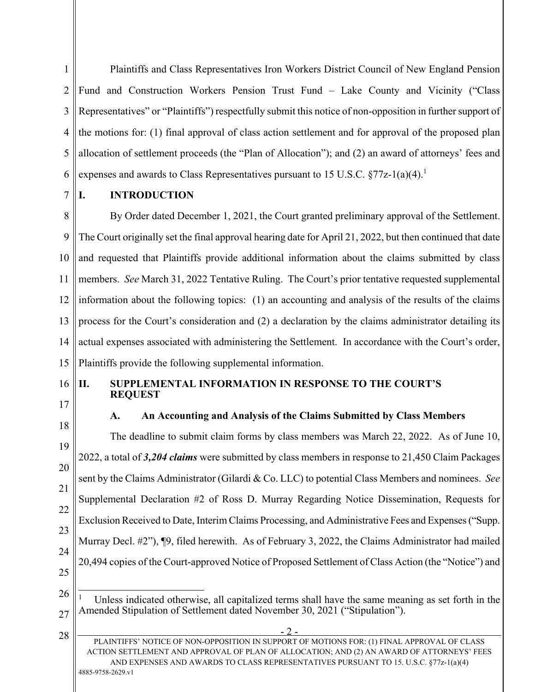1 2 3 4 5 6 Plaintiffs and Class Representatives Iron Workers District Council of New England Pension Fund and Construction Workers Pension Trust Fund – Lake County and Vicinity ("Class Representatives" or "Plaintiffs") respectfully submit this notice of non-opposition in further support of the motions for: (1) final approval of class action settlement and for approval of the proposed plan allocation of settlement proceeds (the "Plan of Allocation"); and (2) an award of attorneys' fees and expenses and awards to Class Representatives pursuant to 15 U.S.C.  $\S 77z-1(a)(4)$ .<sup>1</sup>

7

# **I. INTRODUCTION**

8 9 10 11 12 13 14 15 By Order dated December 1, 2021, the Court granted preliminary approval of the Settlement. The Court originally set the final approval hearing date for April 21, 2022, but then continued that date and requested that Plaintiffs provide additional information about the claims submitted by class members. *See* March 31, 2022 Tentative Ruling. The Court's prior tentative requested supplemental information about the following topics: (1) an accounting and analysis of the results of the claims process for the Court's consideration and (2) a declaration by the claims administrator detailing its actual expenses associated with administering the Settlement. In accordance with the Court's order, Plaintiffs provide the following supplemental information.

#### 16 17 **II. SUPPLEMENTAL INFORMATION IN RESPONSE TO THE COURT'S REQUEST**

18

28

## **A. An Accounting and Analysis of the Claims Submitted by Class Members**

19 20 21 22 23 24 25 The deadline to submit claim forms by class members was March 22, 2022. As of June 10, 2022, a total of *3,204 claims* were submitted by class members in response to 21,450 Claim Packages sent by the Claims Administrator (Gilardi & Co. LLC) to potential Class Members and nominees. *See* Supplemental Declaration #2 of Ross D. Murray Regarding Notice Dissemination, Requests for Exclusion Received to Date, Interim Claims Processing, and Administrative Fees and Expenses ("Supp. Murray Decl. #2"), ¶9, filed herewith. As of February 3, 2022, the Claims Administrator had mailed 20,494 copies of the Court-approved Notice of Proposed Settlement of Class Action (the "Notice") and

 $2 -$ PLAINTIFFS' NOTICE OF NON-OPPOSITION IN SUPPORT OF MOTIONS FOR: (1) FINAL APPROVAL OF CLASS ACTION SETTLEMENT AND APPROVAL OF PLAN OF ALLOCATION; AND (2) AN AWARD OF ATTORNEYS' FEES AND EXPENSES AND AWARDS TO CLASS REPRESENTATIVES PURSUANT TO 15. U.S.C. §77z-1(a)(4) 4885-9758-2629.v1

<sup>26</sup> 27  $\overline{a}$ 1 Unless indicated otherwise, all capitalized terms shall have the same meaning as set forth in the Amended Stipulation of Settlement dated November 30, 2021 ("Stipulation").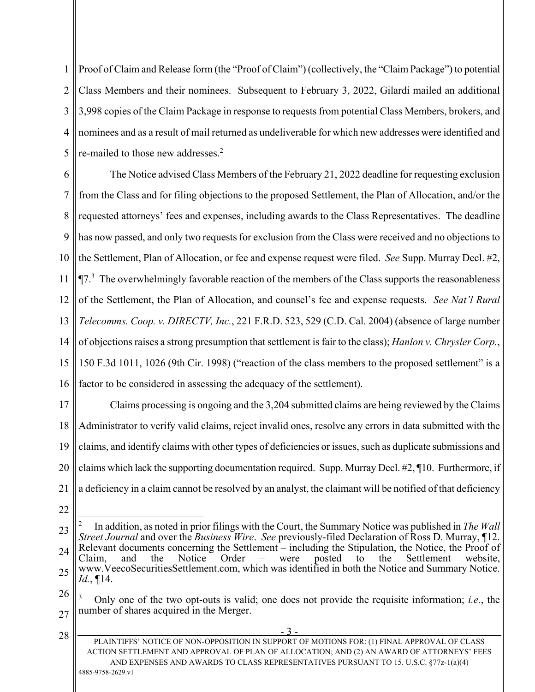1 Proof of Claim and Release form (the "Proof of Claim") (collectively, the "Claim Package") to potential 2 3 4 5 Class Members and their nominees. Subsequent to February 3, 2022, Gilardi mailed an additional 3,998 copies of the Claim Package in response to requests from potential Class Members, brokers, and nominees and as a result of mail returned as undeliverable for which new addresses were identified and re-mailed to those new addresses.<sup>2</sup>

6 7 8 9 10 11 12 13 14 15 16 The Notice advised Class Members of the February 21, 2022 deadline for requesting exclusion from the Class and for filing objections to the proposed Settlement, the Plan of Allocation, and/or the requested attorneys' fees and expenses, including awards to the Class Representatives. The deadline has now passed, and only two requests for exclusion from the Class were received and no objections to the Settlement, Plan of Allocation, or fee and expense request were filed. *See* Supp. Murray Decl. #2,  $\P$ 7.<sup>3</sup> The overwhelmingly favorable reaction of the members of the Class supports the reasonableness of the Settlement, the Plan of Allocation, and counsel's fee and expense requests. *See Nat'l Rural Telecomms. Coop. v. DIRECTV, Inc.*, 221 F.R.D. 523, 529 (C.D. Cal. 2004) (absence of large number of objections raises a strong presumption that settlement is fair to the class); *Hanlon v. Chrysler Corp.*, 150 F.3d 1011, 1026 (9th Cir. 1998) ("reaction of the class members to the proposed settlement" is a factor to be considered in assessing the adequacy of the settlement).

17 18 19 20 21 Claims processing is ongoing and the 3,204 submitted claims are being reviewed by the Claims Administrator to verify valid claims, reject invalid ones, resolve any errors in data submitted with the claims, and identify claims with other types of deficiencies or issues, such as duplicate submissions and claims which lack the supporting documentation required. Supp. Murray Decl. #2, ¶10. Furthermore, if a deficiency in a claim cannot be resolved by an analyst, the claimant will be notified of that deficiency

22

- 3 - PLAINTIFFS' NOTICE OF NON-OPPOSITION IN SUPPORT OF MOTIONS FOR: (1) FINAL APPROVAL OF CLASS ACTION SETTLEMENT AND APPROVAL OF PLAN OF ALLOCATION; AND (2) AN AWARD OF ATTORNEYS' FEES AND EXPENSES AND AWARDS TO CLASS REPRESENTATIVES PURSUANT TO 15. U.S.C. §77z-1(a)(4) 4885-9758-2629.v1 28

<sup>23</sup> 24 25 1 2 In addition, as noted in prior filings with the Court, the Summary Notice was published in *The Wall Street Journal* and over the *Business Wire*. *See* previously-filed Declaration of Ross D. Murray, ¶12. Relevant documents concerning the Settlement – including the Stipulation, the Notice, the Proof of Claim, and the Notice Order – were posted to the Settlement website, www.VeecoSecuritiesSettlement.com, which was identified in both the Notice and Summary Notice. *Id.*, ¶14.

<sup>26</sup> 27 3 Only one of the two opt-outs is valid; one does not provide the requisite information; *i.e.*, the number of shares acquired in the Merger.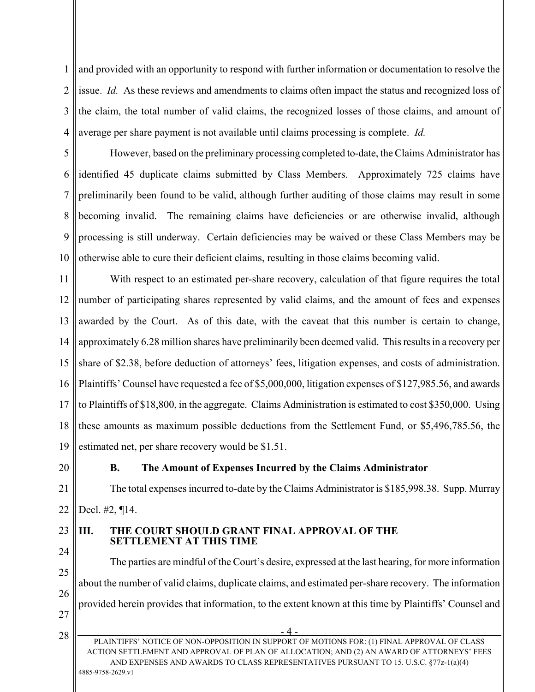1 2 3 4 and provided with an opportunity to respond with further information or documentation to resolve the issue. *Id.* As these reviews and amendments to claims often impact the status and recognized loss of the claim, the total number of valid claims, the recognized losses of those claims, and amount of average per share payment is not available until claims processing is complete. *Id.*

5 6 7 8 9 10 However, based on the preliminary processing completed to-date, the Claims Administrator has identified 45 duplicate claims submitted by Class Members. Approximately 725 claims have preliminarily been found to be valid, although further auditing of those claims may result in some becoming invalid. The remaining claims have deficiencies or are otherwise invalid, although processing is still underway. Certain deficiencies may be waived or these Class Members may be otherwise able to cure their deficient claims, resulting in those claims becoming valid.

11 12 13 14 15 16 17 18 19 With respect to an estimated per-share recovery, calculation of that figure requires the total number of participating shares represented by valid claims, and the amount of fees and expenses awarded by the Court. As of this date, with the caveat that this number is certain to change, approximately 6.28 million shares have preliminarily been deemed valid. This results in a recovery per share of \$2.38, before deduction of attorneys' fees, litigation expenses, and costs of administration. Plaintiffs' Counsel have requested a fee of \$5,000,000, litigation expenses of \$127,985.56, and awards to Plaintiffs of \$18,800, in the aggregate. Claims Administration is estimated to cost \$350,000. Using these amounts as maximum possible deductions from the Settlement Fund, or \$5,496,785.56, the estimated net, per share recovery would be \$1.51.

20

### **B. The Amount of Expenses Incurred by the Claims Administrator**

21 22 The total expenses incurred to-date by the Claims Administrator is \$185,998.38. Supp. Murray Decl. #2, ¶14.

#### 23 **III. THE COURT SHOULD GRANT FINAL APPROVAL OF THE SETTLEMENT AT THIS TIME**

25 26 27 The parties are mindful of the Court's desire, expressed at the last hearing, for more information about the number of valid claims, duplicate claims, and estimated per-share recovery. The information provided herein provides that information, to the extent known at this time by Plaintiffs' Counsel and

28

24

- 4 -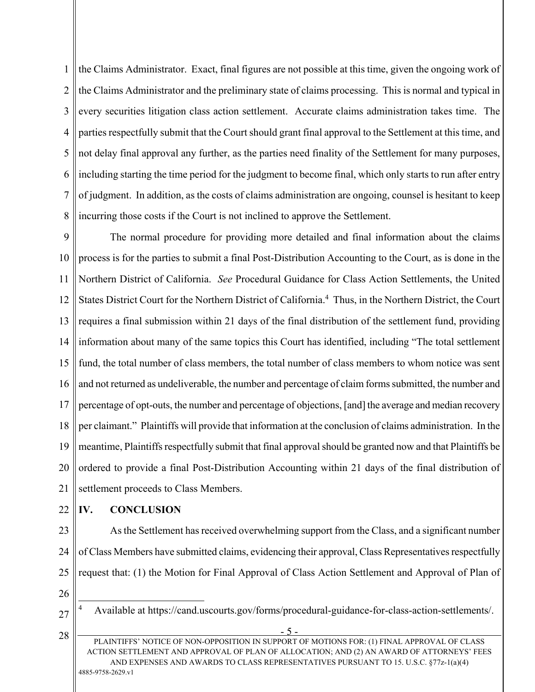1 2 3 4 5 6 7 8 the Claims Administrator. Exact, final figures are not possible at this time, given the ongoing work of the Claims Administrator and the preliminary state of claims processing. This is normal and typical in every securities litigation class action settlement. Accurate claims administration takes time. The parties respectfully submit that the Court should grant final approval to the Settlement at this time, and not delay final approval any further, as the parties need finality of the Settlement for many purposes, including starting the time period for the judgment to become final, which only starts to run after entry of judgment. In addition, as the costs of claims administration are ongoing, counsel is hesitant to keep incurring those costs if the Court is not inclined to approve the Settlement.

9 10 11 12 13 14 15 16 17 18 19 20 21 The normal procedure for providing more detailed and final information about the claims process is for the parties to submit a final Post-Distribution Accounting to the Court, as is done in the Northern District of California. *See* Procedural Guidance for Class Action Settlements, the United States District Court for the Northern District of California.<sup>4</sup> Thus, in the Northern District, the Court requires a final submission within 21 days of the final distribution of the settlement fund, providing information about many of the same topics this Court has identified, including "The total settlement fund, the total number of class members, the total number of class members to whom notice was sent and not returned as undeliverable, the number and percentage of claim forms submitted, the number and percentage of opt-outs, the number and percentage of objections, [and] the average and median recovery per claimant." Plaintiffs will provide that information at the conclusion of claims administration. In the meantime, Plaintiffs respectfully submit that final approval should be granted now and that Plaintiffs be ordered to provide a final Post-Distribution Accounting within 21 days of the final distribution of settlement proceeds to Class Members.

22

## **IV. CONCLUSION**

23 24 25 As the Settlement has received overwhelming support from the Class, and a significant number of Class Members have submitted claims, evidencing their approval, Class Representatives respectfully request that: (1) the Motion for Final Approval of Class Action Settlement and Approval of Plan of

26

 $\overline{a}$ 

27

28

<sup>4</sup> Available at https://cand.uscourts.gov/forms/procedural-guidance-for-class-action-settlements/.

 $5 -$ PLAINTIFFS' NOTICE OF NON-OPPOSITION IN SUPPORT OF MOTIONS FOR: (1) FINAL APPROVAL OF CLASS ACTION SETTLEMENT AND APPROVAL OF PLAN OF ALLOCATION; AND (2) AN AWARD OF ATTORNEYS' FEES AND EXPENSES AND AWARDS TO CLASS REPRESENTATIVES PURSUANT TO 15. U.S.C. §77z-1(a)(4) 4885-9758-2629.v1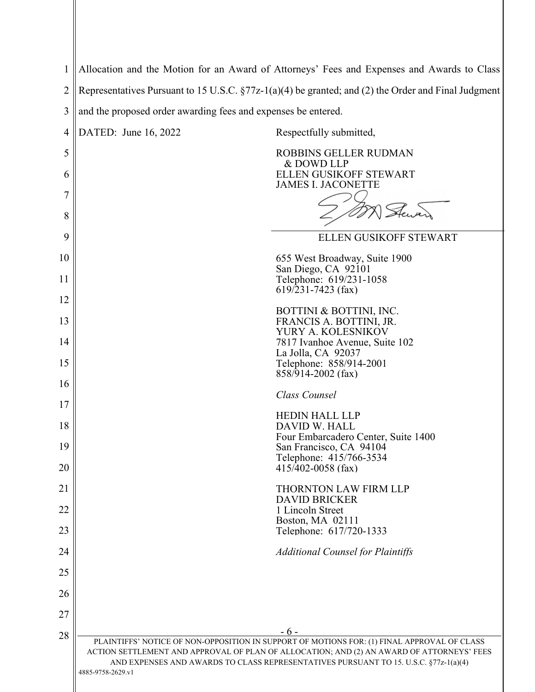| 1              | Allocation and the Motion for an Award of Attorneys' Fees and Expenses and Awards to Class             |                                                                                                                                                                                                                                                                                  |  |  |  |
|----------------|--------------------------------------------------------------------------------------------------------|----------------------------------------------------------------------------------------------------------------------------------------------------------------------------------------------------------------------------------------------------------------------------------|--|--|--|
| $\overline{2}$ | Representatives Pursuant to 15 U.S.C. $\S77z-1(a)(4)$ be granted; and (2) the Order and Final Judgment |                                                                                                                                                                                                                                                                                  |  |  |  |
| 3              | and the proposed order awarding fees and expenses be entered.                                          |                                                                                                                                                                                                                                                                                  |  |  |  |
| 4              | DATED: June 16, 2022                                                                                   | Respectfully submitted,                                                                                                                                                                                                                                                          |  |  |  |
| 5              |                                                                                                        | <b>ROBBINS GELLER RUDMAN</b><br>& DOWD LLP                                                                                                                                                                                                                                       |  |  |  |
| 6              |                                                                                                        | ELLEN GUSIKOFF STEWART<br><b>JAMES I. JACONETTE</b>                                                                                                                                                                                                                              |  |  |  |
| 7<br>8         |                                                                                                        |                                                                                                                                                                                                                                                                                  |  |  |  |
| 9              |                                                                                                        | ELLEN GUSIKOFF STEWART                                                                                                                                                                                                                                                           |  |  |  |
| 10             |                                                                                                        | 655 West Broadway, Suite 1900                                                                                                                                                                                                                                                    |  |  |  |
| 11             |                                                                                                        | San Diego, CA 92101<br>Telephone: 619/231-1058<br>$619/231 - 7423$ (fax)                                                                                                                                                                                                         |  |  |  |
| 12             |                                                                                                        | BOTTINI & BOTTINI, INC.                                                                                                                                                                                                                                                          |  |  |  |
| 13<br>14       |                                                                                                        | FRANCIS A. BOTTINI, JR.<br>YURY A. KOLESNIKOV<br>7817 Ivanhoe Avenue, Suite 102                                                                                                                                                                                                  |  |  |  |
| 15             |                                                                                                        | La Jolla, CA 92037<br>Telephone: 858/914-2001                                                                                                                                                                                                                                    |  |  |  |
| 16             |                                                                                                        | 858/914-2002 (fax)<br>Class Counsel                                                                                                                                                                                                                                              |  |  |  |
| 17             |                                                                                                        | <b>HEDIN HALL LLP</b>                                                                                                                                                                                                                                                            |  |  |  |
| 18             |                                                                                                        | DAVID W. HALL                                                                                                                                                                                                                                                                    |  |  |  |
| 19             |                                                                                                        | Four Embarcadero Center, Suite 1400<br>San Francisco, CA 94104<br>Telephone: 415/766-3534                                                                                                                                                                                        |  |  |  |
| 20             |                                                                                                        | $415/402 - 0058$ (fax)                                                                                                                                                                                                                                                           |  |  |  |
| 21             |                                                                                                        | <b>THORNTON LAW FIRM LLP</b><br><b>DAVID BRICKER</b>                                                                                                                                                                                                                             |  |  |  |
| 22             |                                                                                                        | 1 Lincoln Street<br>Boston, MA 02111                                                                                                                                                                                                                                             |  |  |  |
| 23             |                                                                                                        | Telephone: 617/720-1333                                                                                                                                                                                                                                                          |  |  |  |
| 24             |                                                                                                        | <b>Additional Counsel for Plaintiffs</b>                                                                                                                                                                                                                                         |  |  |  |
| 25             |                                                                                                        |                                                                                                                                                                                                                                                                                  |  |  |  |
| 26             |                                                                                                        |                                                                                                                                                                                                                                                                                  |  |  |  |
| 27             |                                                                                                        | - 6 -                                                                                                                                                                                                                                                                            |  |  |  |
| 28             | 4885-9758-2629.v1                                                                                      | PLAINTIFFS' NOTICE OF NON-OPPOSITION IN SUPPORT OF MOTIONS FOR: (1) FINAL APPROVAL OF CLASS<br>ACTION SETTLEMENT AND APPROVAL OF PLAN OF ALLOCATION; AND (2) AN AWARD OF ATTORNEYS' FEES<br>AND EXPENSES AND AWARDS TO CLASS REPRESENTATIVES PURSUANT TO 15. U.S.C. §77z-1(a)(4) |  |  |  |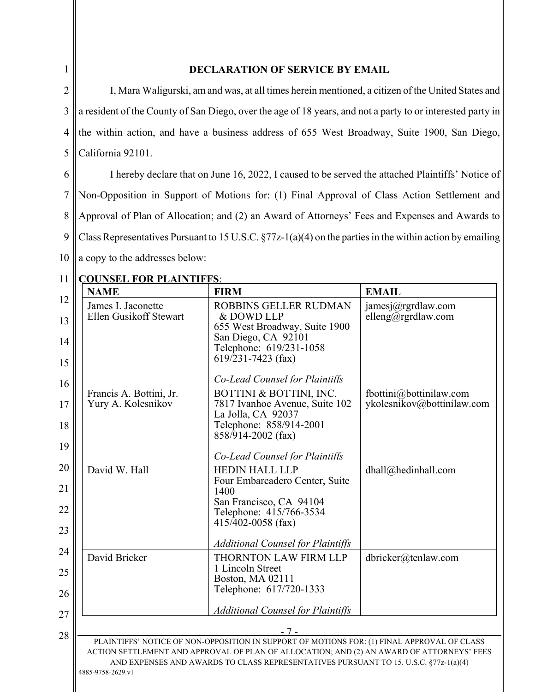| ш |
|---|
|   |

### **DECLARATION OF SERVICE BY EMAIL**

2 3 4 5 I, Mara Waligurski, am and was, at all times herein mentioned, a citizen of the United States and a resident of the County of San Diego, over the age of 18 years, and not a party to or interested party in the within action, and have a business address of 655 West Broadway, Suite 1900, San Diego, California 92101.

6 7 8 9 10 I hereby declare that on June 16, 2022, I caused to be served the attached Plaintiffs' Notice of Non-Opposition in Support of Motions for: (1) Final Approval of Class Action Settlement and Approval of Plan of Allocation; and (2) an Award of Attorneys' Fees and Expenses and Awards to Class Representatives Pursuant to 15 U.S.C. §77z-1(a)(4) on the parties in the within action by emailing a copy to the addresses below:

11 **COUNSEL FOR PLAINTIFFS**:

| 11<br><b>NAME</b><br>12 | <u>COUNSEL FOR PLAINTIFFS!</u> | <b>FIRM</b>                                                                                                                                                                              | <b>EMAIL</b>               |
|-------------------------|--------------------------------|------------------------------------------------------------------------------------------------------------------------------------------------------------------------------------------|----------------------------|
|                         | James I. Jaconette             | ROBBINS GELLER RUDMAN                                                                                                                                                                    | jamesj@rgrdlaw.com         |
|                         | Ellen Gusikoff Stewart         | & DOWD LLP<br>655 West Broadway, Suite 1900                                                                                                                                              | elleng@rgrdlaw.com         |
|                         |                                | San Diego, CA 92101<br>Telephone: 619/231-1058<br>$619/231 - 7423$ (fax)                                                                                                                 |                            |
|                         |                                | Co-Lead Counsel for Plaintiffs                                                                                                                                                           |                            |
|                         | Francis A. Bottini, Jr.        | BOTTINI & BOTTINI, INC.                                                                                                                                                                  | fbottini@bottinilaw.com    |
|                         | Yury A. Kolesnikov             | 7817 Ivanhoe Avenue, Suite 102<br>La Jolla, CA 92037                                                                                                                                     | ykolesnikov@bottinilaw.com |
|                         |                                | Telephone: 858/914-2001<br>858/914-2002 (fax)                                                                                                                                            |                            |
|                         |                                | Co-Lead Counsel for Plaintiffs                                                                                                                                                           |                            |
|                         | David W. Hall                  | <b>HEDIN HALL LLP</b>                                                                                                                                                                    | dhall@hedinhall.com        |
|                         |                                | Four Embarcadero Center, Suite<br>1400                                                                                                                                                   |                            |
|                         |                                | San Francisco, CA 94104<br>Telephone: 415/766-3534<br>$415/402 - 0058$ (fax)                                                                                                             |                            |
|                         |                                |                                                                                                                                                                                          |                            |
|                         | David Bricker                  | <b>Additional Counsel for Plaintiffs</b><br><b>THORNTON LAW FIRM LLP</b>                                                                                                                 | dbricker@tenlaw.com        |
|                         |                                | 1 Lincoln Street<br>Boston, MA 02111                                                                                                                                                     |                            |
|                         |                                | Telephone: 617/720-1333                                                                                                                                                                  |                            |
|                         |                                | <b>Additional Counsel for Plaintiffs</b>                                                                                                                                                 |                            |
|                         |                                | $-7-$                                                                                                                                                                                    |                            |
|                         |                                | PLAINTIFFS' NOTICE OF NON-OPPOSITION IN SUPPORT OF MOTIONS FOR: (1) FINAL APPROVAL OF CLASS<br>ACTION SETTLEMENT AND APPROVAL OF PLAN OF ALLOCATION; AND (2) AN AWARD OF ATTORNEYS' FEES |                            |
| 4885-9758-2629.vl       |                                | AND EXPENSES AND AWARDS TO CLASS REPRESENTATIVES PURSUANT TO 15. U.S.C. §77z-1(a)(4)                                                                                                     |                            |